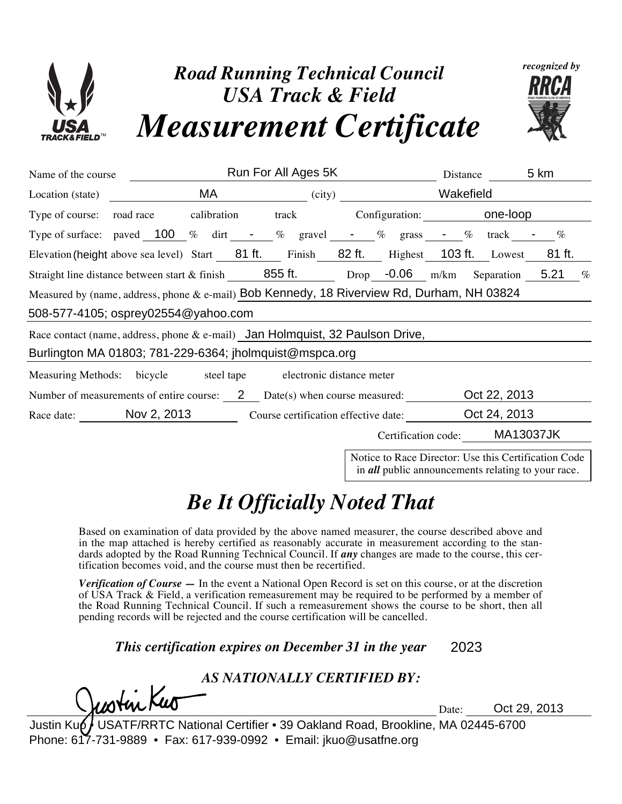

| Name of the course                                                                                                            | Run For All Ages 5K |                                                                                                                                                                                                                                |  |        |                     | Distance                       |                  | 5 km         |  |
|-------------------------------------------------------------------------------------------------------------------------------|---------------------|--------------------------------------------------------------------------------------------------------------------------------------------------------------------------------------------------------------------------------|--|--------|---------------------|--------------------------------|------------------|--------------|--|
| Location (state)                                                                                                              |                     | MA and the state of the state of the state of the state of the state of the state of the state of the state of the state of the state of the state of the state of the state of the state of the state of the state of the sta |  | (city) |                     | Wakefield                      |                  |              |  |
| Type of course: road race $\odot$                                                                                             |                     | calibration $\Box$ track $\Box$                                                                                                                                                                                                |  |        |                     | Configuration: <b>One-loop</b> |                  |              |  |
| Type of surface: paved 100 % dirt - % gravel - % grass - %                                                                    |                     |                                                                                                                                                                                                                                |  |        |                     |                                | track            | $\%$         |  |
| Elevation (height above sea level) Start 81 ft. Finish 82 ft. Highest 103 ft. Lowest                                          |                     |                                                                                                                                                                                                                                |  |        |                     |                                |                  | 81 ft.       |  |
| Straight line distance between start & finish 855 ft. Drop $-0.06$ m/km Separation                                            |                     |                                                                                                                                                                                                                                |  |        |                     |                                |                  | 5.21<br>$\%$ |  |
| Measured by (name, address, phone & e-mail) Bob Kennedy, 18 Riverview Rd, Durham, NH 03824                                    |                     |                                                                                                                                                                                                                                |  |        |                     |                                |                  |              |  |
| 508-577-4105; osprey02554@yahoo.com                                                                                           |                     |                                                                                                                                                                                                                                |  |        |                     |                                |                  |              |  |
| Race contact (name, address, phone & e-mail) Jan Holmquist, 32 Paulson Drive,                                                 |                     |                                                                                                                                                                                                                                |  |        |                     |                                |                  |              |  |
| Burlington MA 01803; 781-229-6364; jholmquist@mspca.org                                                                       |                     |                                                                                                                                                                                                                                |  |        |                     |                                |                  |              |  |
| Measuring Methods: bicycle $\vert \bullet \vert$ steel tape $\vert \cdot \vert$ electronic distance meter $\vert \cdot \vert$ |                     |                                                                                                                                                                                                                                |  |        |                     |                                |                  |              |  |
| Oct 22, 2013<br>Number of measurements of entire course: $2$ Date(s) when course measured:                                    |                     |                                                                                                                                                                                                                                |  |        |                     |                                |                  |              |  |
| Race date: Nov 2, 2013<br>Course certification effective date:                                                                |                     |                                                                                                                                                                                                                                |  |        |                     | Oct 24, 2013                   |                  |              |  |
|                                                                                                                               |                     |                                                                                                                                                                                                                                |  |        | Certification code: |                                | <b>MA13037JK</b> |              |  |
| Notice to Race Director: Use this Certification Code                                                                          |                     |                                                                                                                                                                                                                                |  |        |                     |                                |                  |              |  |

in *all* public announcements relating to your race.

## *Be It Officially Noted That*

Based on examination of data provided by the above named measurer, the course described above and in the map attached is hereby certified as reasonably accurate in measurement according to the standards adopted by the Road Running Technical Council. If *any* changes are made to the course, this certification becomes void, and the course must then be recertified.

*Verification of Course —* In the event a National Open Record is set on this course, or at the discretion of USA Track & Field, a verification remeasurement may be required to be performed by a member of the Road Running Technical Council. If such a remeasurement shows the course to be short, then all pending records will be rejected and the course certification will be cancelled.

*This certification expires on December 31 in the year* 2023

## *AS NATIONALLY CERTIFIED BY:*

Date: Oct 29, 2013

Justin Ku JSATF/RRTC National Certifier " 39 Oakland Road, Brookline, MA 02445-6700 Phone: 617-731-9889 " Fax: 617-939-0992 " Email: jkuo@usatfne.org